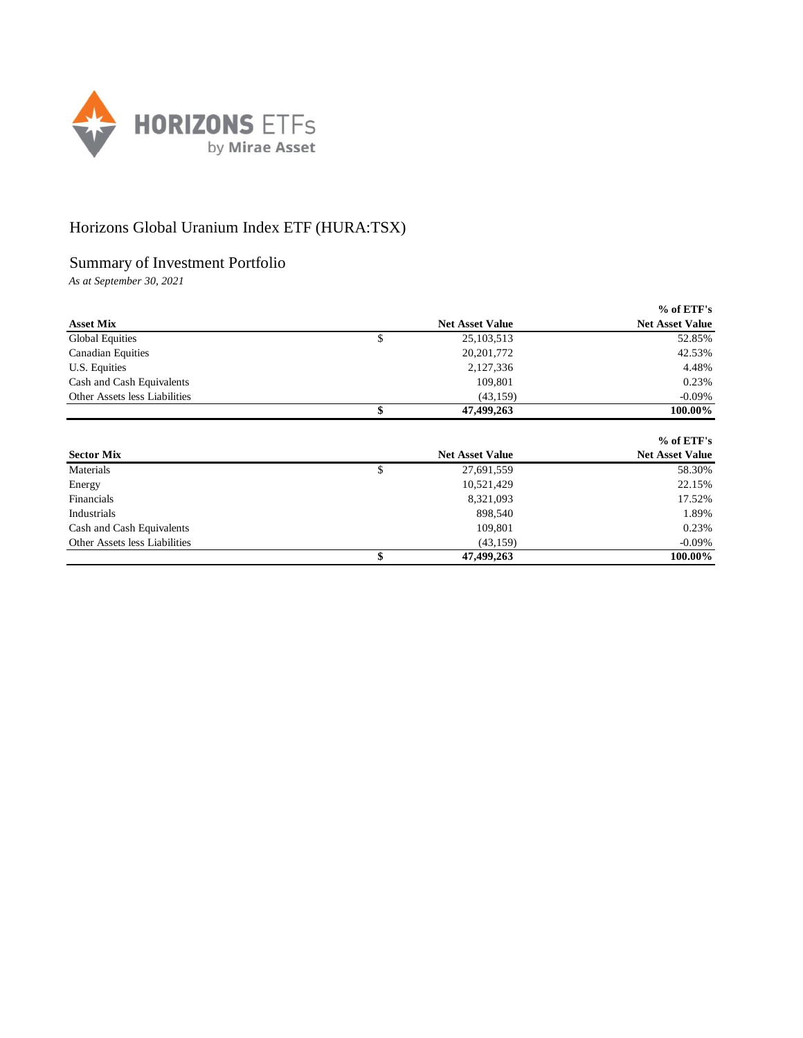

## Horizons Global Uranium Index ETF (HURA:TSX)

## Summary of Investment Portfolio

*As at September 30, 2021*

|                               |                        |                        | $%$ of ETF's           |
|-------------------------------|------------------------|------------------------|------------------------|
| <b>Asset Mix</b>              |                        | <b>Net Asset Value</b> | <b>Net Asset Value</b> |
| Global Equities               | S                      | 25, 103, 513           | 52.85%                 |
| <b>Canadian Equities</b>      |                        | 20, 201, 772           | 42.53%                 |
| U.S. Equities                 |                        | 2,127,336              | 4.48%                  |
| Cash and Cash Equivalents     |                        | 109,801                | 0.23%                  |
| Other Assets less Liabilities |                        | (43, 159)              | $-0.09\%$              |
|                               |                        | 47,499,263             | 100.00%                |
|                               |                        |                        | $%$ of ETF's           |
| <b>Sector Mix</b>             | <b>Net Asset Value</b> |                        | <b>Net Asset Value</b> |

| DUUUL MILA                    | 1300 139900 - 14140 | $1101123300$ range |
|-------------------------------|---------------------|--------------------|
| Materials                     | 27,691,559          | 58.30%             |
| Energy                        | 10,521,429          | 22.15%             |
| Financials                    | 8,321,093           | 17.52%             |
| Industrials                   | 898,540             | 1.89%              |
| Cash and Cash Equivalents     | 109.801             | 0.23%              |
| Other Assets less Liabilities | (43.159)            | $-0.09\%$          |
|                               | 47,499,263          | 100.00%            |